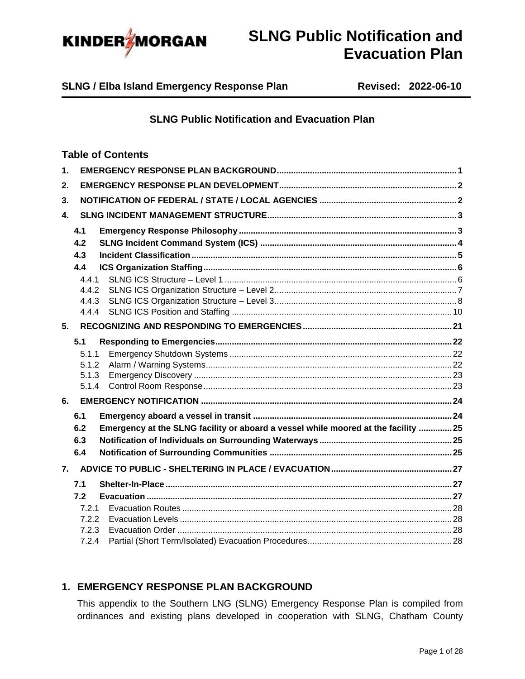

**SLNG / Elba Island Emergency Response Plan Revised: 2022-06-10**

## **SLNG Public Notification and Evacuation Plan**

### **Table of Contents**

| $\mathbf 1$ .  |       |                                                                                    |  |
|----------------|-------|------------------------------------------------------------------------------------|--|
| 2.             |       |                                                                                    |  |
| 3.             |       |                                                                                    |  |
| $\mathbf{A}$   |       |                                                                                    |  |
|                | 4.1   |                                                                                    |  |
|                | 4.2   |                                                                                    |  |
|                | 4.3   |                                                                                    |  |
|                | 4.4   |                                                                                    |  |
|                | 4.4.1 |                                                                                    |  |
|                | 4.4.2 |                                                                                    |  |
|                | 4.4.3 |                                                                                    |  |
|                | 4.4.4 |                                                                                    |  |
| 5 <sub>1</sub> |       |                                                                                    |  |
|                | 5.1   |                                                                                    |  |
|                | 5.1.1 |                                                                                    |  |
|                | 5.1.2 |                                                                                    |  |
|                | 5.1.3 |                                                                                    |  |
|                | 5.1.4 |                                                                                    |  |
| 6.             |       |                                                                                    |  |
|                | 6.1   |                                                                                    |  |
|                | 6.2   | Emergency at the SLNG facility or aboard a vessel while moored at the facility  25 |  |
|                | 6.3   |                                                                                    |  |
|                | 6.4   |                                                                                    |  |
| 7.             |       |                                                                                    |  |
|                | 7.1   |                                                                                    |  |
|                | 7.2   |                                                                                    |  |
|                | 7.2.1 |                                                                                    |  |
|                | 7.2.2 |                                                                                    |  |
|                | 7.2.3 |                                                                                    |  |
|                | 7.2.4 |                                                                                    |  |

### <span id="page-0-0"></span>**1. EMERGENCY RESPONSE PLAN BACKGROUND**

This appendix to the Southern LNG (SLNG) Emergency Response Plan is compiled from ordinances and existing plans developed in cooperation with SLNG, Chatham County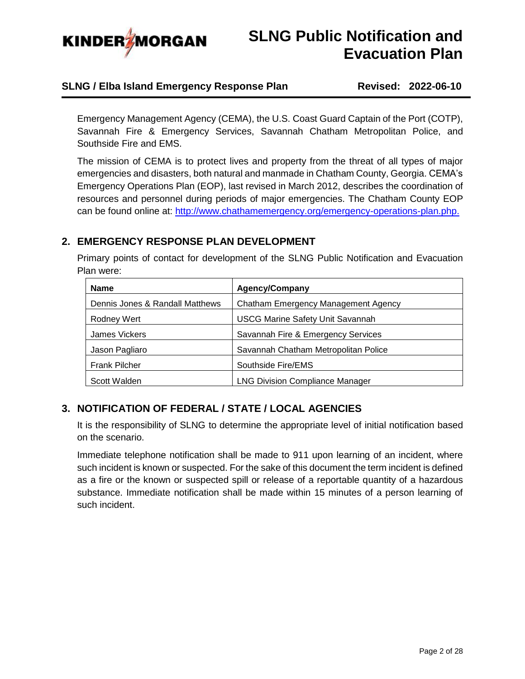

### **SLNG / Elba Island Emergency Response Plan Revised: 2022-06-10**

Emergency Management Agency (CEMA), the U.S. Coast Guard Captain of the Port (COTP), Savannah Fire & Emergency Services, Savannah Chatham Metropolitan Police, and Southside Fire and EMS.

The mission of CEMA is to protect lives and property from the threat of all types of major emergencies and disasters, both natural and manmade in Chatham County, Georgia. CEMA's Emergency Operations Plan (EOP), last revised in March 2012, describes the coordination of resources and personnel during periods of major emergencies. The Chatham County EOP can be found online at: [http://www.chathamemergency.org/emergency-operations-plan.php.](http://www.chathamemergency.org/emergency-operations-plan.php)

## <span id="page-1-0"></span>**2. EMERGENCY RESPONSE PLAN DEVELOPMENT**

Primary points of contact for development of the SLNG Public Notification and Evacuation Plan were:

| <b>Name</b>                     | <b>Agency/Company</b>                   |
|---------------------------------|-----------------------------------------|
| Dennis Jones & Randall Matthews | Chatham Emergency Management Agency     |
| Rodney Wert                     | <b>USCG Marine Safety Unit Savannah</b> |
| James Vickers                   | Savannah Fire & Emergency Services      |
| Jason Pagliaro                  | Savannah Chatham Metropolitan Police    |
| <b>Frank Pilcher</b>            | Southside Fire/EMS                      |
| Scott Walden                    | <b>LNG Division Compliance Manager</b>  |

## <span id="page-1-1"></span>**3. NOTIFICATION OF FEDERAL / STATE / LOCAL AGENCIES**

It is the responsibility of SLNG to determine the appropriate level of initial notification based on the scenario.

Immediate telephone notification shall be made to 911 upon learning of an incident, where such incident is known or suspected. For the sake of this document the term incident is defined as a fire or the known or suspected spill or release of a reportable quantity of a hazardous substance. Immediate notification shall be made within 15 minutes of a person learning of such incident.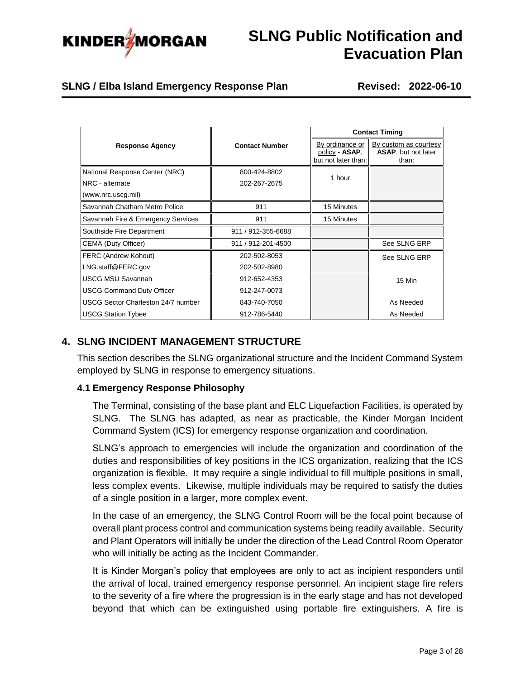

## **SLNG / Elba Island Emergency Response Plan Revised: 2022-06-10**

|                                           |                       | <b>Contact Timing</b>                                    |                                                       |  |
|-------------------------------------------|-----------------------|----------------------------------------------------------|-------------------------------------------------------|--|
| <b>Response Agency</b>                    | <b>Contact Number</b> | By ordinance or<br>policy - ASAP,<br>but not later than: | By custom as courtesy<br>ASAP, but not later<br>than: |  |
| National Response Center (NRC)            | 800-424-8802          | 1 hour                                                   |                                                       |  |
| NRC - alternate                           | 202-267-2675          |                                                          |                                                       |  |
| (www.nrc.uscg.mil)                        |                       |                                                          |                                                       |  |
| Savannah Chatham Metro Police             | 911                   | 15 Minutes                                               |                                                       |  |
| Savannah Fire & Emergency Services        | 911                   | 15 Minutes                                               |                                                       |  |
| Southside Fire Department                 | 911 / 912-355-6688    |                                                          |                                                       |  |
| CEMA (Duty Officer)                       | 911 / 912-201-4500    |                                                          | See SLNG ERP                                          |  |
| FERC (Andrew Kohout)                      | 202-502-8053          |                                                          | See SLNG ERP                                          |  |
| LNG.staff@FERC.gov                        | 202-502-8980          |                                                          |                                                       |  |
| <b>USCG MSU Savannah</b>                  | 912-652-4353          |                                                          | 15 Min                                                |  |
| <b>USCG Command Duty Officer</b>          | 912-247-0073          |                                                          |                                                       |  |
| <b>USCG Sector Charleston 24/7 number</b> | 843-740-7050          |                                                          | As Needed                                             |  |
| <b>USCG Station Tybee</b>                 | 912-786-5440          |                                                          | As Needed                                             |  |

## <span id="page-2-0"></span>**4. SLNG INCIDENT MANAGEMENT STRUCTURE**

This section describes the SLNG organizational structure and the Incident Command System employed by SLNG in response to emergency situations.

### <span id="page-2-1"></span>**4.1 Emergency Response Philosophy**

The Terminal, consisting of the base plant and ELC Liquefaction Facilities, is operated by SLNG. The SLNG has adapted, as near as practicable, the Kinder Morgan Incident Command System (ICS) for emergency response organization and coordination.

SLNG's approach to emergencies will include the organization and coordination of the duties and responsibilities of key positions in the ICS organization, realizing that the ICS organization is flexible. It may require a single individual to fill multiple positions in small, less complex events. Likewise, multiple individuals may be required to satisfy the duties of a single position in a larger, more complex event.

In the case of an emergency, the SLNG Control Room will be the focal point because of overall plant process control and communication systems being readily available. Security and Plant Operators will initially be under the direction of the Lead Control Room Operator who will initially be acting as the Incident Commander.

It is Kinder Morgan's policy that employees are only to act as incipient responders until the arrival of local, trained emergency response personnel. An incipient stage fire refers to the severity of a fire where the progression is in the early stage and has not developed beyond that which can be extinguished using portable fire extinguishers. A fire is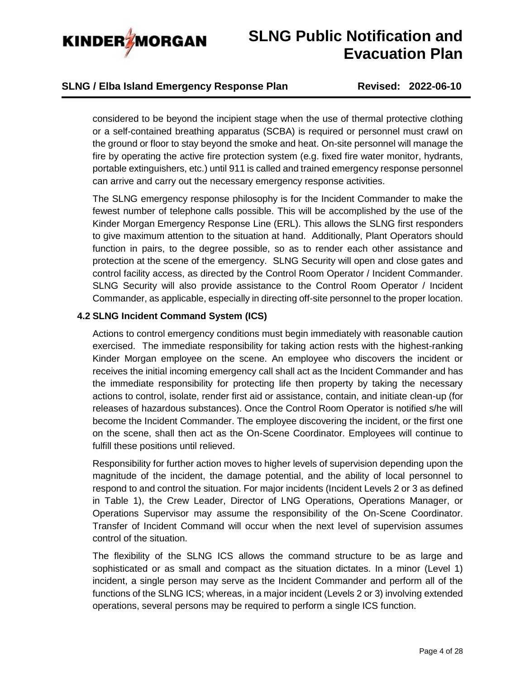

### **SLNG / Elba Island Emergency Response Plan Revised: 2022-06-10**

considered to be beyond the incipient stage when the use of thermal protective clothing or a self-contained breathing apparatus (SCBA) is required or personnel must crawl on the ground or floor to stay beyond the smoke and heat. On-site personnel will manage the fire by operating the active fire protection system (e.g. fixed fire water monitor, hydrants, portable extinguishers, etc.) until 911 is called and trained emergency response personnel can arrive and carry out the necessary emergency response activities.

The SLNG emergency response philosophy is for the Incident Commander to make the fewest number of telephone calls possible. This will be accomplished by the use of the Kinder Morgan Emergency Response Line (ERL). This allows the SLNG first responders to give maximum attention to the situation at hand. Additionally, Plant Operators should function in pairs, to the degree possible, so as to render each other assistance and protection at the scene of the emergency. SLNG Security will open and close gates and control facility access, as directed by the Control Room Operator / Incident Commander. SLNG Security will also provide assistance to the Control Room Operator / Incident Commander, as applicable, especially in directing off-site personnel to the proper location.

### <span id="page-3-0"></span>**4.2 SLNG Incident Command System (ICS)**

Actions to control emergency conditions must begin immediately with reasonable caution exercised. The immediate responsibility for taking action rests with the highest-ranking Kinder Morgan employee on the scene. An employee who discovers the incident or receives the initial incoming emergency call shall act as the Incident Commander and has the immediate responsibility for protecting life then property by taking the necessary actions to control, isolate, render first aid or assistance, contain, and initiate clean-up (for releases of hazardous substances). Once the Control Room Operator is notified s/he will become the Incident Commander. The employee discovering the incident, or the first one on the scene, shall then act as the On-Scene Coordinator. Employees will continue to fulfill these positions until relieved.

Responsibility for further action moves to higher levels of supervision depending upon the magnitude of the incident, the damage potential, and the ability of local personnel to respond to and control the situation. For major incidents (Incident Levels 2 or 3 as defined in Table 1), the Crew Leader, Director of LNG Operations, Operations Manager, or Operations Supervisor may assume the responsibility of the On-Scene Coordinator. Transfer of Incident Command will occur when the next level of supervision assumes control of the situation.

The flexibility of the SLNG ICS allows the command structure to be as large and sophisticated or as small and compact as the situation dictates. In a minor (Level 1) incident, a single person may serve as the Incident Commander and perform all of the functions of the SLNG ICS; whereas, in a major incident (Levels 2 or 3) involving extended operations, several persons may be required to perform a single ICS function.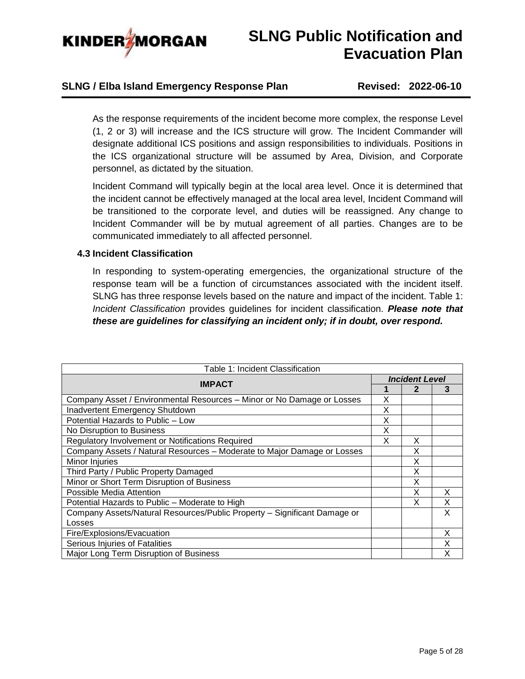

### **SLNG / Elba Island Emergency Response Plan Revised: 2022-06-10**

As the response requirements of the incident become more complex, the response Level (1, 2 or 3) will increase and the ICS structure will grow. The Incident Commander will designate additional ICS positions and assign responsibilities to individuals. Positions in the ICS organizational structure will be assumed by Area, Division, and Corporate personnel, as dictated by the situation.

Incident Command will typically begin at the local area level. Once it is determined that the incident cannot be effectively managed at the local area level, Incident Command will be transitioned to the corporate level, and duties will be reassigned. Any change to Incident Commander will be by mutual agreement of all parties. Changes are to be communicated immediately to all affected personnel.

#### <span id="page-4-0"></span>**4.3 Incident Classification**

In responding to system-operating emergencies, the organizational structure of the response team will be a function of circumstances associated with the incident itself. SLNG has three response levels based on the nature and impact of the incident. Table 1: *Incident Classification* provides guidelines for incident classification. *Please note that these are guidelines for classifying an incident only; if in doubt, over respond.*

| Table 1: Incident Classification                                         |   |                       |   |  |
|--------------------------------------------------------------------------|---|-----------------------|---|--|
| <b>IMPACT</b>                                                            |   | <b>Incident Level</b> |   |  |
|                                                                          |   | 2                     | 3 |  |
| Company Asset / Environmental Resources - Minor or No Damage or Losses   | X |                       |   |  |
| Inadvertent Emergency Shutdown                                           | X |                       |   |  |
| Potential Hazards to Public - Low                                        | X |                       |   |  |
| No Disruption to Business                                                | X |                       |   |  |
| Regulatory Involvement or Notifications Required                         | X | X                     |   |  |
| Company Assets / Natural Resources - Moderate to Major Damage or Losses  |   | X                     |   |  |
| Minor Injuries                                                           |   | X                     |   |  |
| Third Party / Public Property Damaged                                    |   | x                     |   |  |
| Minor or Short Term Disruption of Business                               |   | х                     |   |  |
| Possible Media Attention                                                 |   | X                     | X |  |
| Potential Hazards to Public – Moderate to High                           |   | x                     | X |  |
| Company Assets/Natural Resources/Public Property - Significant Damage or |   |                       | X |  |
| Losses                                                                   |   |                       |   |  |
| Fire/Explosions/Evacuation                                               |   |                       | X |  |
| Serious Injuries of Fatalities                                           |   |                       | x |  |
| Major Long Term Disruption of Business                                   |   |                       | x |  |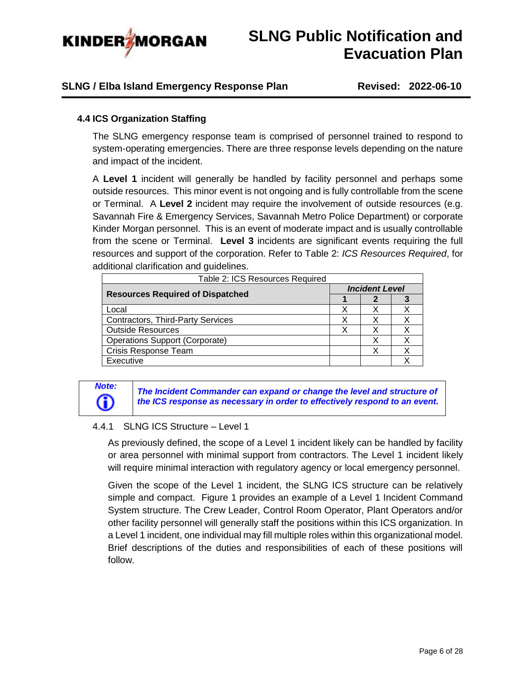

### **SLNG / Elba Island Emergency Response Plan Revised: 2022-06-10**

### <span id="page-5-0"></span>**4.4 ICS Organization Staffing**

The SLNG emergency response team is comprised of personnel trained to respond to system-operating emergencies. There are three response levels depending on the nature and impact of the incident.

A **Level 1** incident will generally be handled by facility personnel and perhaps some outside resources. This minor event is not ongoing and is fully controllable from the scene or Terminal. A **Level 2** incident may require the involvement of outside resources (e.g. Savannah Fire & Emergency Services, Savannah Metro Police Department) or corporate Kinder Morgan personnel. This is an event of moderate impact and is usually controllable from the scene or Terminal. **Level 3** incidents are significant events requiring the full resources and support of the corporation. Refer to Table 2: *ICS Resources Required*, for additional clarification and guidelines.

| Table 2: ICS Resources Required         |  |                       |  |  |
|-----------------------------------------|--|-----------------------|--|--|
| <b>Resources Required of Dispatched</b> |  | <b>Incident Level</b> |  |  |
|                                         |  |                       |  |  |
| Local                                   |  |                       |  |  |
| Contractors, Third-Party Services       |  |                       |  |  |
| <b>Outside Resources</b>                |  | X                     |  |  |
| <b>Operations Support (Corporate)</b>   |  | X                     |  |  |
| Crisis Response Team                    |  | χ                     |  |  |
| Executive                               |  |                       |  |  |

*Note:*<br>*The Incident Commander can expand or change the level and structure of*<br>the ICS response as necessary in order to effectively respond to an event. *the ICS response as necessary in order to effectively respond to an event.*

### <span id="page-5-1"></span>4.4.1 SLNG ICS Structure – Level 1

As previously defined, the scope of a Level 1 incident likely can be handled by facility or area personnel with minimal support from contractors. The Level 1 incident likely will require minimal interaction with regulatory agency or local emergency personnel.

Given the scope of the Level 1 incident, the SLNG ICS structure can be relatively simple and compact. Figure 1 provides an example of a Level 1 Incident Command System structure. The Crew Leader, Control Room Operator, Plant Operators and/or other facility personnel will generally staff the positions within this ICS organization. In a Level 1 incident, one individual may fill multiple roles within this organizational model. Brief descriptions of the duties and responsibilities of each of these positions will follow.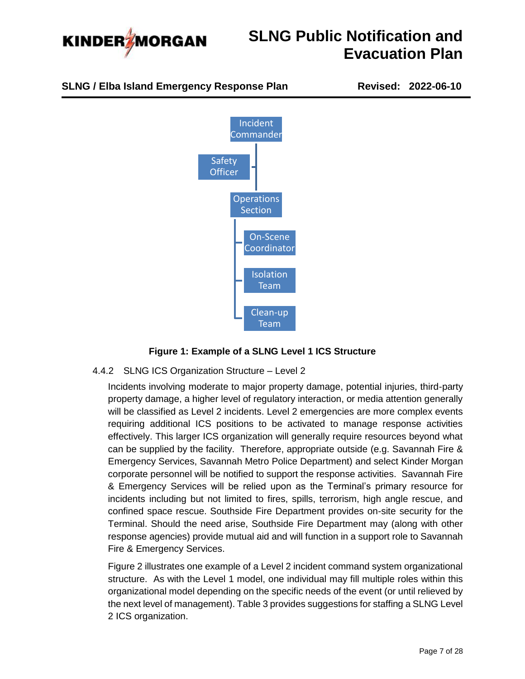





### **Figure 1: Example of a SLNG Level 1 ICS Structure**

### <span id="page-6-0"></span>4.4.2 SLNG ICS Organization Structure – Level 2

Incidents involving moderate to major property damage, potential injuries, third-party property damage, a higher level of regulatory interaction, or media attention generally will be classified as Level 2 incidents. Level 2 emergencies are more complex events requiring additional ICS positions to be activated to manage response activities effectively. This larger ICS organization will generally require resources beyond what can be supplied by the facility. Therefore, appropriate outside (e.g. Savannah Fire & Emergency Services, Savannah Metro Police Department) and select Kinder Morgan corporate personnel will be notified to support the response activities. Savannah Fire & Emergency Services will be relied upon as the Terminal's primary resource for incidents including but not limited to fires, spills, terrorism, high angle rescue, and confined space rescue. Southside Fire Department provides on-site security for the Terminal. Should the need arise, Southside Fire Department may (along with other response agencies) provide mutual aid and will function in a support role to Savannah Fire & Emergency Services.

Figure 2 illustrates one example of a Level 2 incident command system organizational structure. As with the Level 1 model, one individual may fill multiple roles within this organizational model depending on the specific needs of the event (or until relieved by the next level of management). Table 3 provides suggestions for staffing a SLNG Level 2 ICS organization.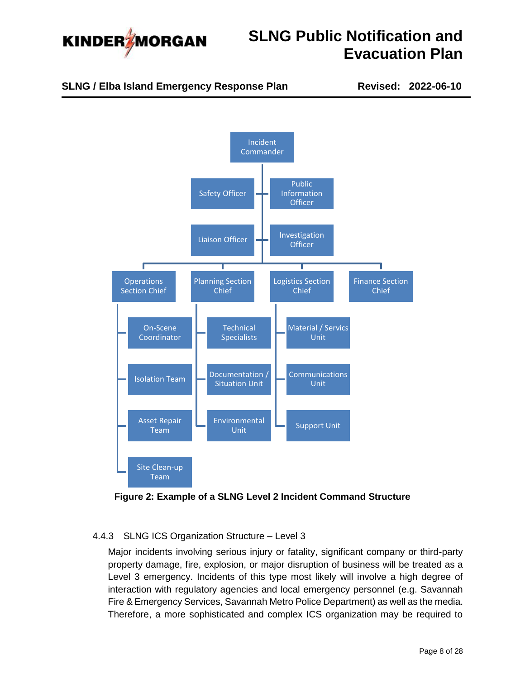

**SLNG / Elba Island Emergency Response Plan Revised: 2022-06-10**



**Figure 2: Example of a SLNG Level 2 Incident Command Structure**

### <span id="page-7-0"></span>4.4.3 SLNG ICS Organization Structure – Level 3

Major incidents involving serious injury or fatality, significant company or third-party property damage, fire, explosion, or major disruption of business will be treated as a Level 3 emergency. Incidents of this type most likely will involve a high degree of interaction with regulatory agencies and local emergency personnel (e.g. Savannah Fire & Emergency Services, Savannah Metro Police Department) as well as the media. Therefore, a more sophisticated and complex ICS organization may be required to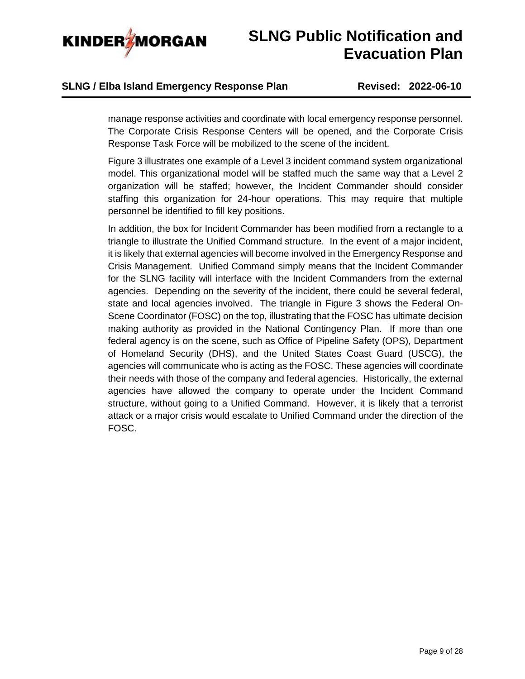

## **SLNG / Elba Island Emergency Response Plan Revised: 2022-06-10**

manage response activities and coordinate with local emergency response personnel. The Corporate Crisis Response Centers will be opened, and the Corporate Crisis Response Task Force will be mobilized to the scene of the incident.

Figure 3 illustrates one example of a Level 3 incident command system organizational model. This organizational model will be staffed much the same way that a Level 2 organization will be staffed; however, the Incident Commander should consider staffing this organization for 24-hour operations. This may require that multiple personnel be identified to fill key positions.

In addition, the box for Incident Commander has been modified from a rectangle to a triangle to illustrate the Unified Command structure. In the event of a major incident, it is likely that external agencies will become involved in the Emergency Response and Crisis Management. Unified Command simply means that the Incident Commander for the SLNG facility will interface with the Incident Commanders from the external agencies. Depending on the severity of the incident, there could be several federal, state and local agencies involved. The triangle in Figure 3 shows the Federal On-Scene Coordinator (FOSC) on the top, illustrating that the FOSC has ultimate decision making authority as provided in the National Contingency Plan. If more than one federal agency is on the scene, such as Office of Pipeline Safety (OPS), Department of Homeland Security (DHS), and the United States Coast Guard (USCG), the agencies will communicate who is acting as the FOSC. These agencies will coordinate their needs with those of the company and federal agencies. Historically, the external agencies have allowed the company to operate under the Incident Command structure, without going to a Unified Command. However, it is likely that a terrorist attack or a major crisis would escalate to Unified Command under the direction of the FOSC.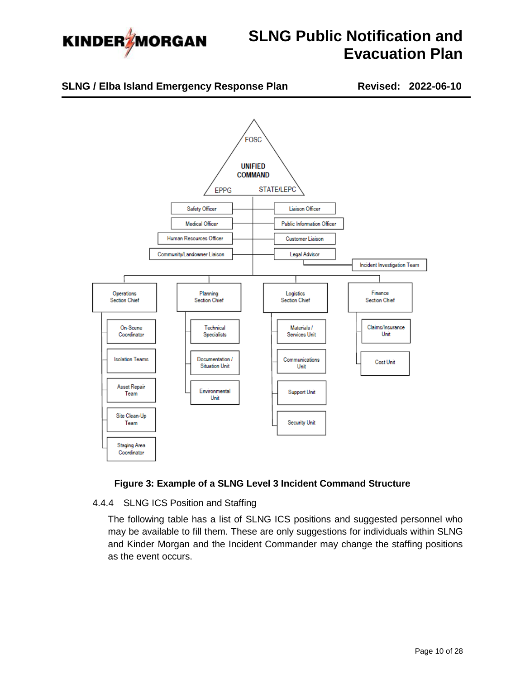



### **Figure 3: Example of a SLNG Level 3 Incident Command Structure**

### <span id="page-9-0"></span>4.4.4 SLNG ICS Position and Staffing

The following table has a list of SLNG ICS positions and suggested personnel who may be available to fill them. These are only suggestions for individuals within SLNG and Kinder Morgan and the Incident Commander may change the staffing positions as the event occurs.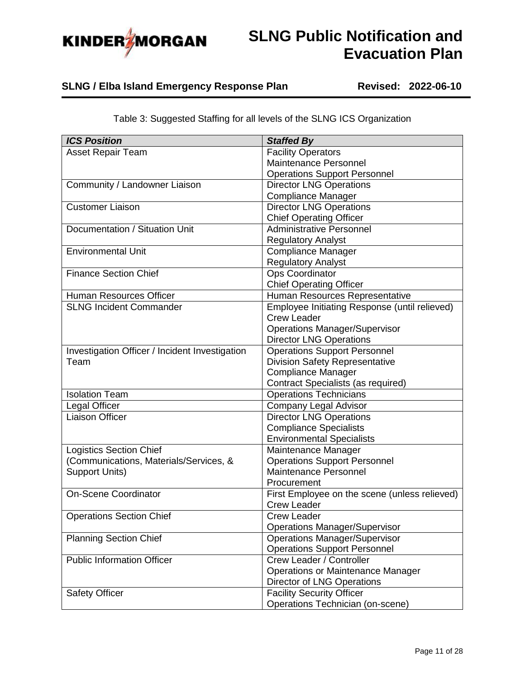

## **SLNG / Elba Island Emergency Response Plan Revised: 2022-06-10**

| <b>ICS Position</b>                            | <b>Staffed By</b>                             |
|------------------------------------------------|-----------------------------------------------|
| <b>Asset Repair Team</b>                       | <b>Facility Operators</b>                     |
|                                                | Maintenance Personnel                         |
|                                                | <b>Operations Support Personnel</b>           |
| Community / Landowner Liaison                  | <b>Director LNG Operations</b>                |
|                                                | <b>Compliance Manager</b>                     |
| <b>Customer Liaison</b>                        | <b>Director LNG Operations</b>                |
|                                                | <b>Chief Operating Officer</b>                |
| Documentation / Situation Unit                 | <b>Administrative Personnel</b>               |
|                                                | <b>Regulatory Analyst</b>                     |
| <b>Environmental Unit</b>                      | <b>Compliance Manager</b>                     |
|                                                | <b>Regulatory Analyst</b>                     |
| <b>Finance Section Chief</b>                   | Ops Coordinator                               |
|                                                | <b>Chief Operating Officer</b>                |
| Human Resources Officer                        | Human Resources Representative                |
| <b>SLNG Incident Commander</b>                 | Employee Initiating Response (until relieved) |
|                                                | <b>Crew Leader</b>                            |
|                                                | <b>Operations Manager/Supervisor</b>          |
|                                                | <b>Director LNG Operations</b>                |
| Investigation Officer / Incident Investigation | <b>Operations Support Personnel</b>           |
| Team                                           | <b>Division Safety Representative</b>         |
|                                                | <b>Compliance Manager</b>                     |
|                                                | <b>Contract Specialists (as required)</b>     |
| <b>Isolation Team</b>                          | <b>Operations Technicians</b>                 |
| Legal Officer                                  | <b>Company Legal Advisor</b>                  |
| <b>Liaison Officer</b>                         | <b>Director LNG Operations</b>                |
|                                                | <b>Compliance Specialists</b>                 |
|                                                | <b>Environmental Specialists</b>              |
| <b>Logistics Section Chief</b>                 | Maintenance Manager                           |
| (Communications, Materials/Services, &         | <b>Operations Support Personnel</b>           |
| <b>Support Units)</b>                          | Maintenance Personnel                         |
|                                                | Procurement                                   |
| <b>On-Scene Coordinator</b>                    | First Employee on the scene (unless relieved) |
|                                                | <b>Crew Leader</b>                            |
| <b>Operations Section Chief</b>                | <b>Crew Leader</b>                            |
|                                                | <b>Operations Manager/Supervisor</b>          |
| <b>Planning Section Chief</b>                  | <b>Operations Manager/Supervisor</b>          |
|                                                | <b>Operations Support Personnel</b>           |
| <b>Public Information Officer</b>              | Crew Leader / Controller                      |
|                                                | <b>Operations or Maintenance Manager</b>      |
|                                                | Director of LNG Operations                    |
| <b>Safety Officer</b>                          | <b>Facility Security Officer</b>              |
|                                                | Operations Technician (on-scene)              |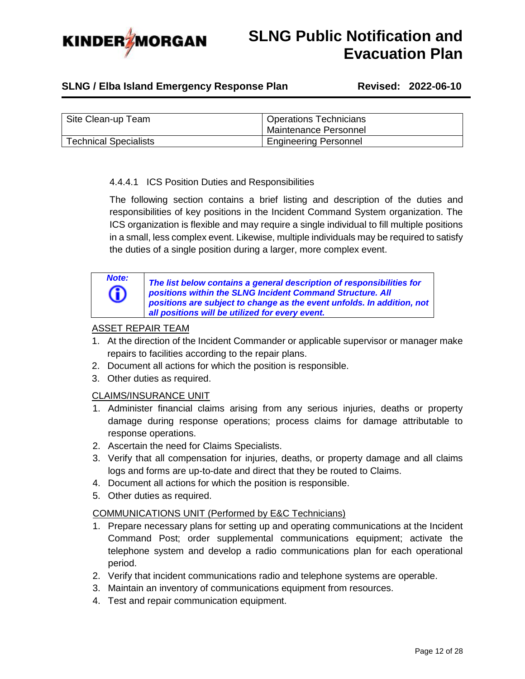

## **SLNG / Elba Island Emergency Response Plan Revised: 2022-06-10**

| Site Clean-up Team           | <b>Operations Technicians</b><br>Maintenance Personnel |
|------------------------------|--------------------------------------------------------|
| <b>Technical Specialists</b> | <b>Engineering Personnel</b>                           |

### 4.4.4.1 ICS Position Duties and Responsibilities

The following section contains a brief listing and description of the duties and responsibilities of key positions in the Incident Command System organization. The ICS organization is flexible and may require a single individual to fill multiple positions in a small, less complex event. Likewise, multiple individuals may be required to satisfy the duties of a single position during a larger, more complex event.



**Note:** *The list below contains a general description of responsibilities for positions within the SLNG Incident Command Structure. All positions within the SLNG Incident Command Structure. All positions are subject to change as the event unfolds. In addition, not all positions will be utilized for every event.*

### ASSET REPAIR TEAM

- 1. At the direction of the Incident Commander or applicable supervisor or manager make repairs to facilities according to the repair plans.
- 2. Document all actions for which the position is responsible.
- 3. Other duties as required.

### CLAIMS/INSURANCE UNIT

- 1. Administer financial claims arising from any serious injuries, deaths or property damage during response operations; process claims for damage attributable to response operations.
- 2. Ascertain the need for Claims Specialists.
- 3. Verify that all compensation for injuries, deaths, or property damage and all claims logs and forms are up-to-date and direct that they be routed to Claims.
- 4. Document all actions for which the position is responsible.
- 5. Other duties as required.

### COMMUNICATIONS UNIT (Performed by E&C Technicians)

- 1. Prepare necessary plans for setting up and operating communications at the Incident Command Post; order supplemental communications equipment; activate the telephone system and develop a radio communications plan for each operational period.
- 2. Verify that incident communications radio and telephone systems are operable.
- 3. Maintain an inventory of communications equipment from resources.
- 4. Test and repair communication equipment.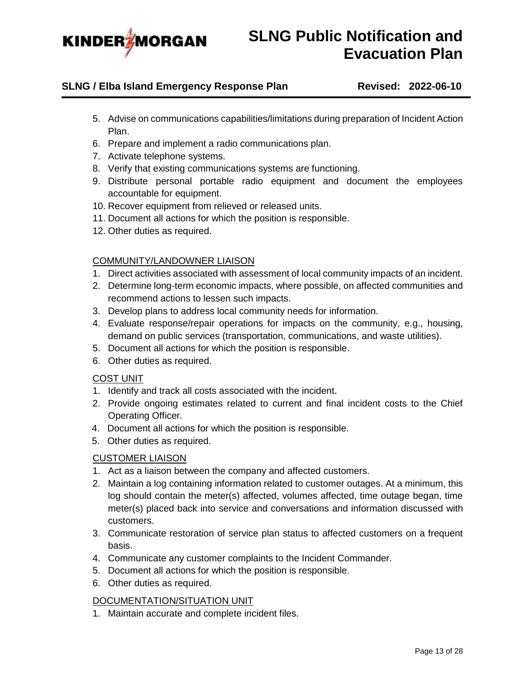

### **SLNG / Elba Island Emergency Response Plan Revised: 2022-06-10**

- 5. Advise on communications capabilities/limitations during preparation of Incident Action Plan.
- 6. Prepare and implement a radio communications plan.
- 7. Activate telephone systems.
- 8. Verify that existing communications systems are functioning.
- 9. Distribute personal portable radio equipment and document the employees accountable for equipment.
- 10. Recover equipment from relieved or released units.
- 11. Document all actions for which the position is responsible.
- 12. Other duties as required.

### COMMUNITY/LANDOWNER LIAISON

- 1. Direct activities associated with assessment of local community impacts of an incident.
- 2. Determine long-term economic impacts, where possible, on affected communities and recommend actions to lessen such impacts.
- 3. Develop plans to address local community needs for information.
- 4. Evaluate response/repair operations for impacts on the community, e.g., housing, demand on public services (transportation, communications, and waste utilities).
- 5. Document all actions for which the position is responsible.
- 6. Other duties as required.

### COST UNIT

- 1. Identify and track all costs associated with the incident.
- 2. Provide ongoing estimates related to current and final incident costs to the Chief Operating Officer.
- 4. Document all actions for which the position is responsible.
- 5. Other duties as required.

### CUSTOMER LIAISON

- 1. Act as a liaison between the company and affected customers.
- 2. Maintain a log containing information related to customer outages. At a minimum, this log should contain the meter(s) affected, volumes affected, time outage began, time meter(s) placed back into service and conversations and information discussed with customers.
- 3. Communicate restoration of service plan status to affected customers on a frequent basis.
- 4. Communicate any customer complaints to the Incident Commander.
- 5. Document all actions for which the position is responsible.
- 6. Other duties as required.

### DOCUMENTATION/SITUATION UNIT

1. Maintain accurate and complete incident files.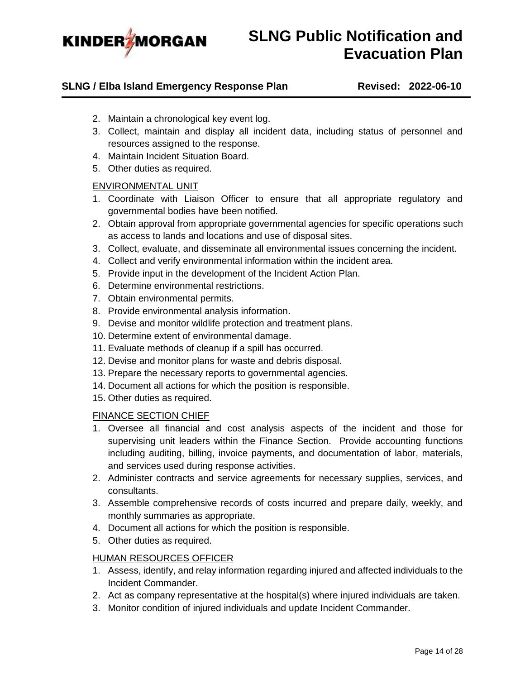

### **SLNG / Elba Island Emergency Response Plan Revised: 2022-06-10**

- 2. Maintain a chronological key event log.
- 3. Collect, maintain and display all incident data, including status of personnel and resources assigned to the response.
- 4. Maintain Incident Situation Board.
- 5. Other duties as required.

### ENVIRONMENTAL UNIT

- 1. Coordinate with Liaison Officer to ensure that all appropriate regulatory and governmental bodies have been notified.
- 2. Obtain approval from appropriate governmental agencies for specific operations such as access to lands and locations and use of disposal sites.
- 3. Collect, evaluate, and disseminate all environmental issues concerning the incident.
- 4. Collect and verify environmental information within the incident area.
- 5. Provide input in the development of the Incident Action Plan.
- 6. Determine environmental restrictions.
- 7. Obtain environmental permits.
- 8. Provide environmental analysis information.
- 9. Devise and monitor wildlife protection and treatment plans.
- 10. Determine extent of environmental damage.
- 11. Evaluate methods of cleanup if a spill has occurred.
- 12. Devise and monitor plans for waste and debris disposal.
- 13. Prepare the necessary reports to governmental agencies.
- 14. Document all actions for which the position is responsible.
- 15. Other duties as required.

### FINANCE SECTION CHIEF

- 1. Oversee all financial and cost analysis aspects of the incident and those for supervising unit leaders within the Finance Section. Provide accounting functions including auditing, billing, invoice payments, and documentation of labor, materials, and services used during response activities.
- 2. Administer contracts and service agreements for necessary supplies, services, and consultants.
- 3. Assemble comprehensive records of costs incurred and prepare daily, weekly, and monthly summaries as appropriate.
- 4. Document all actions for which the position is responsible.
- 5. Other duties as required.

### HUMAN RESOURCES OFFICER

- 1. Assess, identify, and relay information regarding injured and affected individuals to the Incident Commander.
- 2. Act as company representative at the hospital(s) where injured individuals are taken.
- 3. Monitor condition of injured individuals and update Incident Commander.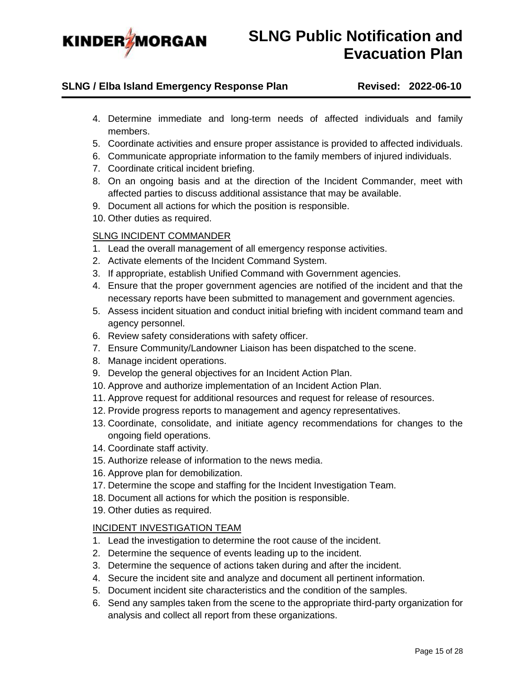

### **SLNG / Elba Island Emergency Response Plan Revised: 2022-06-10**

- 4. Determine immediate and long-term needs of affected individuals and family members.
- 5. Coordinate activities and ensure proper assistance is provided to affected individuals.
- 6. Communicate appropriate information to the family members of injured individuals.
- 7. Coordinate critical incident briefing.
- 8. On an ongoing basis and at the direction of the Incident Commander, meet with affected parties to discuss additional assistance that may be available.
- 9. Document all actions for which the position is responsible.
- 10. Other duties as required.

### SLNG INCIDENT COMMANDER

- 1. Lead the overall management of all emergency response activities.
- 2. Activate elements of the Incident Command System.
- 3. If appropriate, establish Unified Command with Government agencies.
- 4. Ensure that the proper government agencies are notified of the incident and that the necessary reports have been submitted to management and government agencies.
- 5. Assess incident situation and conduct initial briefing with incident command team and agency personnel.
- 6. Review safety considerations with safety officer.
- 7. Ensure Community/Landowner Liaison has been dispatched to the scene.
- 8. Manage incident operations.
- 9. Develop the general objectives for an Incident Action Plan.
- 10. Approve and authorize implementation of an Incident Action Plan.
- 11. Approve request for additional resources and request for release of resources.
- 12. Provide progress reports to management and agency representatives.
- 13. Coordinate, consolidate, and initiate agency recommendations for changes to the ongoing field operations.
- 14. Coordinate staff activity.
- 15. Authorize release of information to the news media.
- 16. Approve plan for demobilization.
- 17. Determine the scope and staffing for the Incident Investigation Team.
- 18. Document all actions for which the position is responsible.
- 19. Other duties as required.

#### INCIDENT INVESTIGATION TEAM

- 1. Lead the investigation to determine the root cause of the incident.
- 2. Determine the sequence of events leading up to the incident.
- 3. Determine the sequence of actions taken during and after the incident.
- 4. Secure the incident site and analyze and document all pertinent information.
- 5. Document incident site characteristics and the condition of the samples.
- 6. Send any samples taken from the scene to the appropriate third-party organization for analysis and collect all report from these organizations.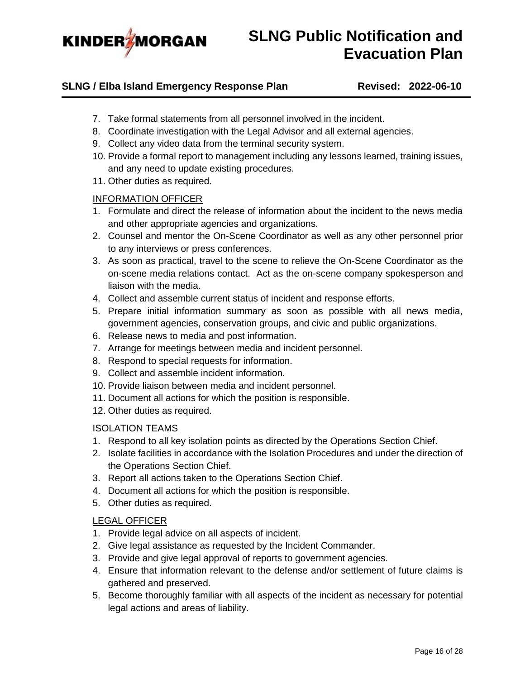

### **SLNG / Elba Island Emergency Response Plan Revised: 2022-06-10**

- 7. Take formal statements from all personnel involved in the incident.
- 8. Coordinate investigation with the Legal Advisor and all external agencies.
- 9. Collect any video data from the terminal security system.
- 10. Provide a formal report to management including any lessons learned, training issues, and any need to update existing procedures.
- 11. Other duties as required.

#### INFORMATION OFFICER

- 1. Formulate and direct the release of information about the incident to the news media and other appropriate agencies and organizations.
- 2. Counsel and mentor the On-Scene Coordinator as well as any other personnel prior to any interviews or press conferences.
- 3. As soon as practical, travel to the scene to relieve the On-Scene Coordinator as the on-scene media relations contact. Act as the on-scene company spokesperson and liaison with the media.
- 4. Collect and assemble current status of incident and response efforts.
- 5. Prepare initial information summary as soon as possible with all news media, government agencies, conservation groups, and civic and public organizations.
- 6. Release news to media and post information.
- 7. Arrange for meetings between media and incident personnel.
- 8. Respond to special requests for information.
- 9. Collect and assemble incident information.
- 10. Provide liaison between media and incident personnel.
- 11. Document all actions for which the position is responsible.
- 12. Other duties as required.

### ISOLATION TEAMS

- 1. Respond to all key isolation points as directed by the Operations Section Chief.
- 2. Isolate facilities in accordance with the Isolation Procedures and under the direction of the Operations Section Chief.
- 3. Report all actions taken to the Operations Section Chief.
- 4. Document all actions for which the position is responsible.
- 5. Other duties as required.

#### LEGAL OFFICER

- 1. Provide legal advice on all aspects of incident.
- 2. Give legal assistance as requested by the Incident Commander.
- 3. Provide and give legal approval of reports to government agencies.
- 4. Ensure that information relevant to the defense and/or settlement of future claims is gathered and preserved.
- 5. Become thoroughly familiar with all aspects of the incident as necessary for potential legal actions and areas of liability.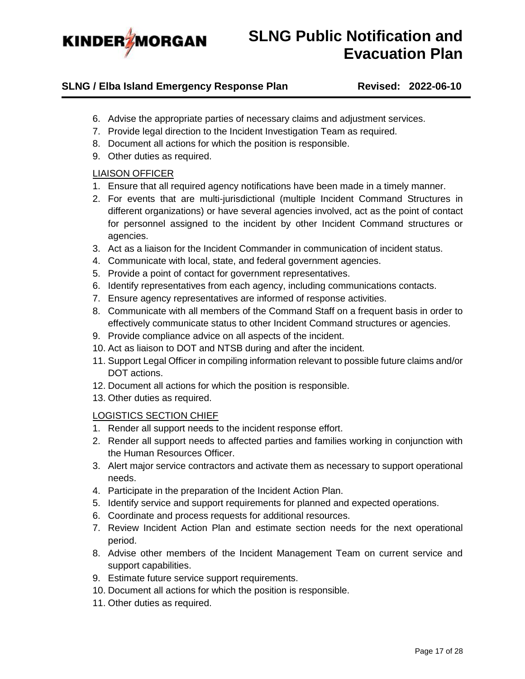

### **SLNG / Elba Island Emergency Response Plan Revised: 2022-06-10**

- 6. Advise the appropriate parties of necessary claims and adjustment services.
- 7. Provide legal direction to the Incident Investigation Team as required.
- 8. Document all actions for which the position is responsible.
- 9. Other duties as required.

### LIAISON OFFICER

- 1. Ensure that all required agency notifications have been made in a timely manner.
- 2. For events that are multi-jurisdictional (multiple Incident Command Structures in different organizations) or have several agencies involved, act as the point of contact for personnel assigned to the incident by other Incident Command structures or agencies.
- 3. Act as a liaison for the Incident Commander in communication of incident status.
- 4. Communicate with local, state, and federal government agencies.
- 5. Provide a point of contact for government representatives.
- 6. Identify representatives from each agency, including communications contacts.
- 7. Ensure agency representatives are informed of response activities.
- 8. Communicate with all members of the Command Staff on a frequent basis in order to effectively communicate status to other Incident Command structures or agencies.
- 9. Provide compliance advice on all aspects of the incident.
- 10. Act as liaison to DOT and NTSB during and after the incident.
- 11. Support Legal Officer in compiling information relevant to possible future claims and/or DOT actions.
- 12. Document all actions for which the position is responsible.
- 13. Other duties as required.

#### LOGISTICS SECTION CHIEF

- 1. Render all support needs to the incident response effort.
- 2. Render all support needs to affected parties and families working in conjunction with the Human Resources Officer.
- 3. Alert major service contractors and activate them as necessary to support operational needs.
- 4. Participate in the preparation of the Incident Action Plan.
- 5. Identify service and support requirements for planned and expected operations.
- 6. Coordinate and process requests for additional resources.
- 7. Review Incident Action Plan and estimate section needs for the next operational period.
- 8. Advise other members of the Incident Management Team on current service and support capabilities.
- 9. Estimate future service support requirements.
- 10. Document all actions for which the position is responsible.
- 11. Other duties as required.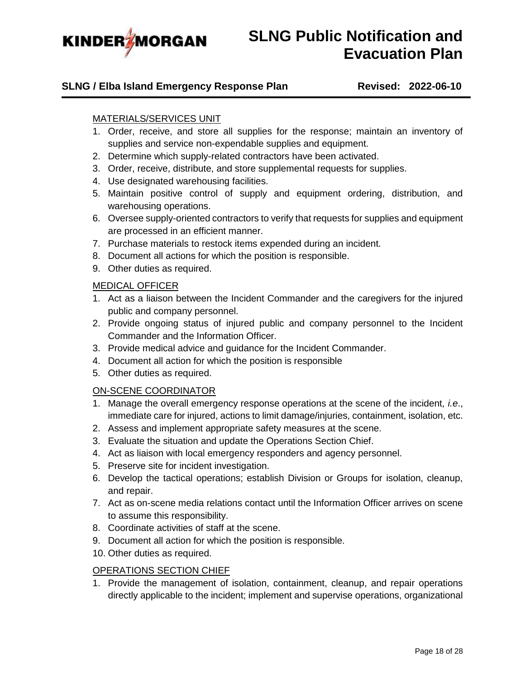

### **SLNG / Elba Island Emergency Response Plan Revised: 2022-06-10**

### MATERIALS/SERVICES UNIT

- 1. Order, receive, and store all supplies for the response; maintain an inventory of supplies and service non-expendable supplies and equipment.
- 2. Determine which supply-related contractors have been activated.
- 3. Order, receive, distribute, and store supplemental requests for supplies.
- 4. Use designated warehousing facilities.
- 5. Maintain positive control of supply and equipment ordering, distribution, and warehousing operations.
- 6. Oversee supply-oriented contractors to verify that requests for supplies and equipment are processed in an efficient manner.
- 7. Purchase materials to restock items expended during an incident.
- 8. Document all actions for which the position is responsible.
- 9. Other duties as required.

### MEDICAL OFFICER

- 1. Act as a liaison between the Incident Commander and the caregivers for the injured public and company personnel.
- 2. Provide ongoing status of injured public and company personnel to the Incident Commander and the Information Officer.
- 3. Provide medical advice and guidance for the Incident Commander.
- 4. Document all action for which the position is responsible
- 5. Other duties as required.

### ON-SCENE COORDINATOR

- 1. Manage the overall emergency response operations at the scene of the incident*, i.e*., immediate care for injured, actions to limit damage/injuries, containment, isolation, etc.
- 2. Assess and implement appropriate safety measures at the scene.
- 3. Evaluate the situation and update the Operations Section Chief.
- 4. Act as liaison with local emergency responders and agency personnel.
- 5. Preserve site for incident investigation.
- 6. Develop the tactical operations; establish Division or Groups for isolation, cleanup, and repair.
- 7. Act as on-scene media relations contact until the Information Officer arrives on scene to assume this responsibility.
- 8. Coordinate activities of staff at the scene.
- 9. Document all action for which the position is responsible.
- 10. Other duties as required.

### OPERATIONS SECTION CHIEF

1. Provide the management of isolation, containment, cleanup, and repair operations directly applicable to the incident; implement and supervise operations, organizational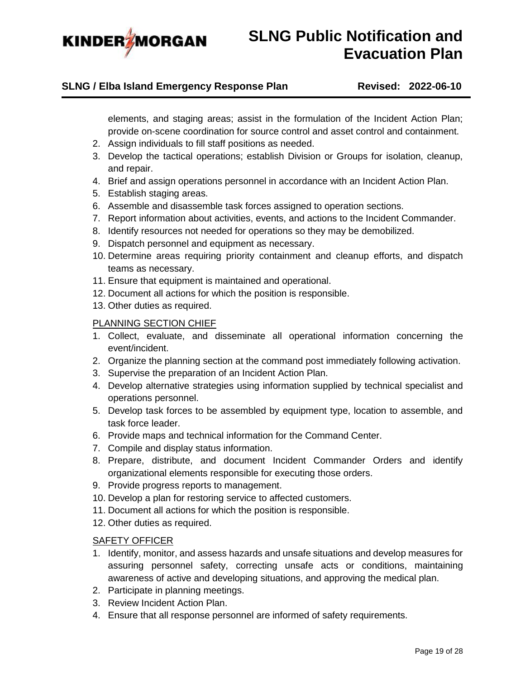

### **SLNG / Elba Island Emergency Response Plan Revised: 2022-06-10**

elements, and staging areas; assist in the formulation of the Incident Action Plan; provide on-scene coordination for source control and asset control and containment.

- 2. Assign individuals to fill staff positions as needed.
- 3. Develop the tactical operations; establish Division or Groups for isolation, cleanup, and repair.
- 4. Brief and assign operations personnel in accordance with an Incident Action Plan.
- 5. Establish staging areas.
- 6. Assemble and disassemble task forces assigned to operation sections.
- 7. Report information about activities, events, and actions to the Incident Commander.
- 8. Identify resources not needed for operations so they may be demobilized.
- 9. Dispatch personnel and equipment as necessary.
- 10. Determine areas requiring priority containment and cleanup efforts, and dispatch teams as necessary.
- 11. Ensure that equipment is maintained and operational.
- 12. Document all actions for which the position is responsible.
- 13. Other duties as required.

#### PLANNING SECTION CHIEF

- 1. Collect, evaluate, and disseminate all operational information concerning the event/incident.
- 2. Organize the planning section at the command post immediately following activation.
- 3. Supervise the preparation of an Incident Action Plan.
- 4. Develop alternative strategies using information supplied by technical specialist and operations personnel.
- 5. Develop task forces to be assembled by equipment type, location to assemble, and task force leader.
- 6. Provide maps and technical information for the Command Center.
- 7. Compile and display status information.
- 8. Prepare, distribute, and document Incident Commander Orders and identify organizational elements responsible for executing those orders.
- 9. Provide progress reports to management.
- 10. Develop a plan for restoring service to affected customers.
- 11. Document all actions for which the position is responsible.
- 12. Other duties as required.

### SAFETY OFFICER

- 1. Identify, monitor, and assess hazards and unsafe situations and develop measures for assuring personnel safety, correcting unsafe acts or conditions, maintaining awareness of active and developing situations, and approving the medical plan.
- 2. Participate in planning meetings.
- 3. Review Incident Action Plan.
- 4. Ensure that all response personnel are informed of safety requirements.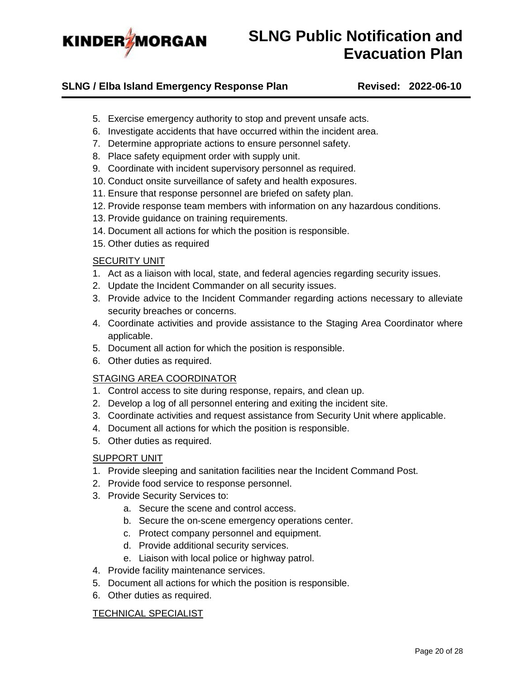

### **SLNG / Elba Island Emergency Response Plan Revised: 2022-06-10**

- 5. Exercise emergency authority to stop and prevent unsafe acts.
- 6. Investigate accidents that have occurred within the incident area.
- 7. Determine appropriate actions to ensure personnel safety.
- 8. Place safety equipment order with supply unit.
- 9. Coordinate with incident supervisory personnel as required.
- 10. Conduct onsite surveillance of safety and health exposures.
- 11. Ensure that response personnel are briefed on safety plan.
- 12. Provide response team members with information on any hazardous conditions.
- 13. Provide guidance on training requirements.
- 14. Document all actions for which the position is responsible.
- 15. Other duties as required

#### SECURITY UNIT

- 1. Act as a liaison with local, state, and federal agencies regarding security issues.
- 2. Update the Incident Commander on all security issues.
- 3. Provide advice to the Incident Commander regarding actions necessary to alleviate security breaches or concerns.
- 4. Coordinate activities and provide assistance to the Staging Area Coordinator where applicable.
- 5. Document all action for which the position is responsible.
- 6. Other duties as required.

### STAGING AREA COORDINATOR

- 1. Control access to site during response, repairs, and clean up.
- 2. Develop a log of all personnel entering and exiting the incident site.
- 3. Coordinate activities and request assistance from Security Unit where applicable.
- 4. Document all actions for which the position is responsible.
- 5. Other duties as required.

#### SUPPORT UNIT

- 1. Provide sleeping and sanitation facilities near the Incident Command Post.
- 2. Provide food service to response personnel.
- 3. Provide Security Services to:
	- a. Secure the scene and control access.
	- b. Secure the on-scene emergency operations center.
	- c. Protect company personnel and equipment.
	- d. Provide additional security services.
	- e. Liaison with local police or highway patrol.
- 4. Provide facility maintenance services.
- 5. Document all actions for which the position is responsible.
- 6. Other duties as required.

#### TECHNICAL SPECIALIST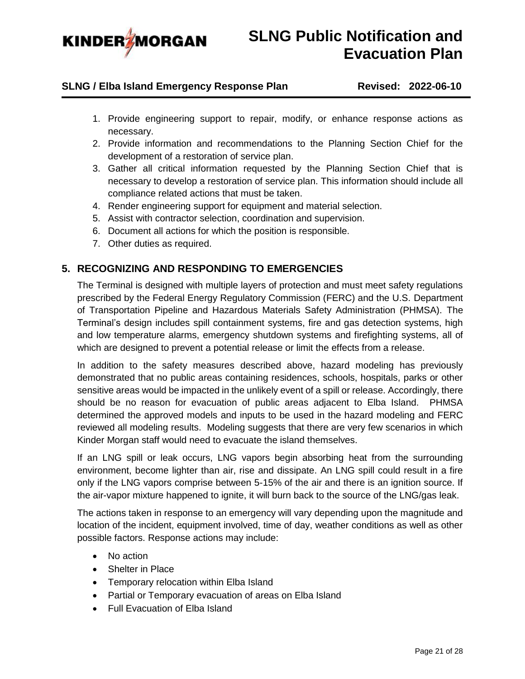

### **SLNG / Elba Island Emergency Response Plan Revised: 2022-06-10**

- 1. Provide engineering support to repair, modify, or enhance response actions as necessary.
- 2. Provide information and recommendations to the Planning Section Chief for the development of a restoration of service plan.
- 3. Gather all critical information requested by the Planning Section Chief that is necessary to develop a restoration of service plan. This information should include all compliance related actions that must be taken.
- 4. Render engineering support for equipment and material selection.
- 5. Assist with contractor selection, coordination and supervision.
- 6. Document all actions for which the position is responsible.
- 7. Other duties as required.

### <span id="page-20-0"></span>**5. RECOGNIZING AND RESPONDING TO EMERGENCIES**

The Terminal is designed with multiple layers of protection and must meet safety regulations prescribed by the Federal Energy Regulatory Commission (FERC) and the U.S. Department of Transportation Pipeline and Hazardous Materials Safety Administration (PHMSA). The Terminal's design includes spill containment systems, fire and gas detection systems, high and low temperature alarms, emergency shutdown systems and firefighting systems, all of which are designed to prevent a potential release or limit the effects from a release.

In addition to the safety measures described above, hazard modeling has previously demonstrated that no public areas containing residences, schools, hospitals, parks or other sensitive areas would be impacted in the unlikely event of a spill or release. Accordingly, there should be no reason for evacuation of public areas adjacent to Elba Island. PHMSA determined the approved models and inputs to be used in the hazard modeling and FERC reviewed all modeling results. Modeling suggests that there are very few scenarios in which Kinder Morgan staff would need to evacuate the island themselves.

If an LNG spill or leak occurs, LNG vapors begin absorbing heat from the surrounding environment, become lighter than air, rise and dissipate. An LNG spill could result in a fire only if the LNG vapors comprise between 5-15% of the air and there is an ignition source. If the air-vapor mixture happened to ignite, it will burn back to the source of the LNG/gas leak.

The actions taken in response to an emergency will vary depending upon the magnitude and location of the incident, equipment involved, time of day, weather conditions as well as other possible factors. Response actions may include:

- No action
- Shelter in Place
- Temporary relocation within Elba Island
- Partial or Temporary evacuation of areas on Elba Island
- Full Evacuation of Elba Island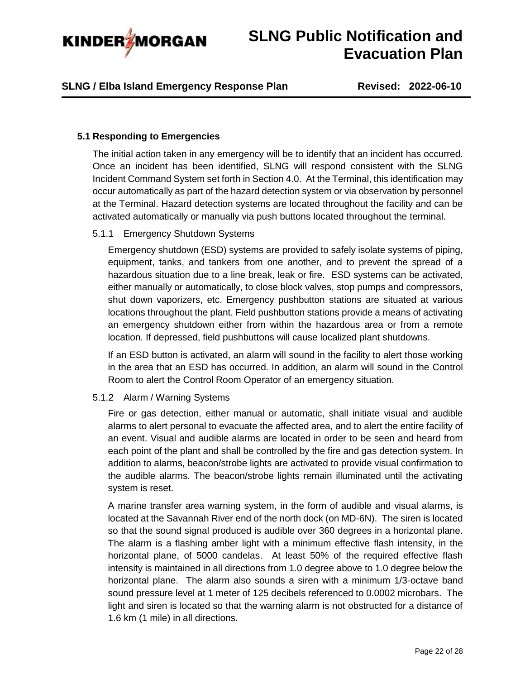

### **SLNG / Elba Island Emergency Response Plan Revised: 2022-06-10**

#### <span id="page-21-0"></span>**5.1 Responding to Emergencies**

The initial action taken in any emergency will be to identify that an incident has occurred. Once an incident has been identified, SLNG will respond consistent with the SLNG Incident Command System set forth in Section 4.0. At the Terminal, this identification may occur automatically as part of the hazard detection system or via observation by personnel at the Terminal. Hazard detection systems are located throughout the facility and can be activated automatically or manually via push buttons located throughout the terminal.

#### <span id="page-21-1"></span>5.1.1 Emergency Shutdown Systems

Emergency shutdown (ESD) systems are provided to safely isolate systems of piping, equipment, tanks, and tankers from one another, and to prevent the spread of a hazardous situation due to a line break, leak or fire. ESD systems can be activated, either manually or automatically, to close block valves, stop pumps and compressors, shut down vaporizers, etc. Emergency pushbutton stations are situated at various locations throughout the plant. Field pushbutton stations provide a means of activating an emergency shutdown either from within the hazardous area or from a remote location. If depressed, field pushbuttons will cause localized plant shutdowns.

If an ESD button is activated, an alarm will sound in the facility to alert those working in the area that an ESD has occurred. In addition, an alarm will sound in the Control Room to alert the Control Room Operator of an emergency situation.

#### <span id="page-21-2"></span>5.1.2 Alarm / Warning Systems

Fire or gas detection, either manual or automatic, shall initiate visual and audible alarms to alert personal to evacuate the affected area, and to alert the entire facility of an event. Visual and audible alarms are located in order to be seen and heard from each point of the plant and shall be controlled by the fire and gas detection system. In addition to alarms, beacon/strobe lights are activated to provide visual confirmation to the audible alarms. The beacon/strobe lights remain illuminated until the activating system is reset.

A marine transfer area warning system, in the form of audible and visual alarms, is located at the Savannah River end of the north dock (on MD-6N). The siren is located so that the sound signal produced is audible over 360 degrees in a horizontal plane. The alarm is a flashing amber light with a minimum effective flash intensity, in the horizontal plane, of 5000 candelas. At least 50% of the required effective flash intensity is maintained in all directions from 1.0 degree above to 1.0 degree below the horizontal plane. The alarm also sounds a siren with a minimum 1/3-octave band sound pressure level at 1 meter of 125 decibels referenced to 0.0002 microbars. The light and siren is located so that the warning alarm is not obstructed for a distance of 1.6 km (1 mile) in all directions.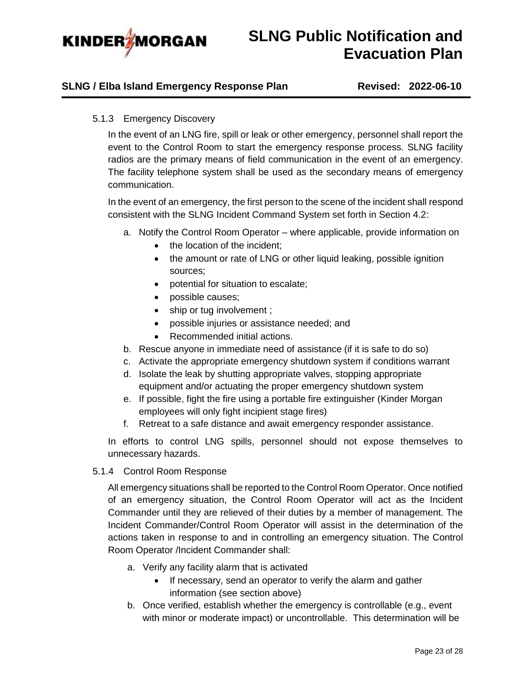

### <span id="page-22-0"></span>**SLNG / Elba Island Emergency Response Plan Revised: 2022-06-10**

### 5.1.3 Emergency Discovery

In the event of an LNG fire, spill or leak or other emergency, personnel shall report the event to the Control Room to start the emergency response process. SLNG facility radios are the primary means of field communication in the event of an emergency. The facility telephone system shall be used as the secondary means of emergency communication.

In the event of an emergency, the first person to the scene of the incident shall respond consistent with the SLNG Incident Command System set forth in Section 4.2:

- a. Notify the Control Room Operator where applicable, provide information on
	- the location of the incident;
	- the amount or rate of LNG or other liquid leaking, possible ignition sources;
	- potential for situation to escalate;
	- possible causes;
	- ship or tug involvement ;
	- possible injuries or assistance needed; and
	- Recommended initial actions.
- b. Rescue anyone in immediate need of assistance (if it is safe to do so)
- c. Activate the appropriate emergency shutdown system if conditions warrant
- d. Isolate the leak by shutting appropriate valves, stopping appropriate equipment and/or actuating the proper emergency shutdown system
- e. If possible, fight the fire using a portable fire extinguisher (Kinder Morgan employees will only fight incipient stage fires)
- f. Retreat to a safe distance and await emergency responder assistance.

In efforts to control LNG spills, personnel should not expose themselves to unnecessary hazards.

<span id="page-22-1"></span>5.1.4 Control Room Response

All emergency situations shall be reported to the Control Room Operator. Once notified of an emergency situation, the Control Room Operator will act as the Incident Commander until they are relieved of their duties by a member of management. The Incident Commander/Control Room Operator will assist in the determination of the actions taken in response to and in controlling an emergency situation. The Control Room Operator /Incident Commander shall:

- a. Verify any facility alarm that is activated
	- If necessary, send an operator to verify the alarm and gather information (see section above)
- b. Once verified, establish whether the emergency is controllable (e.g., event with minor or moderate impact) or uncontrollable. This determination will be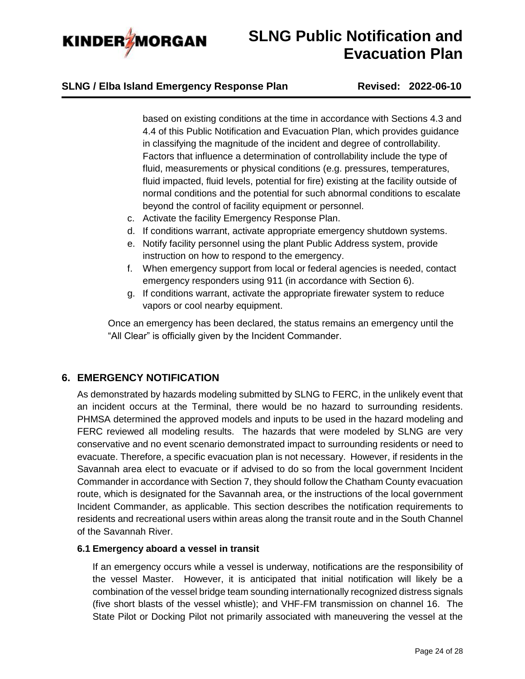

### **SLNG / Elba Island Emergency Response Plan Revised: 2022-06-10**

based on existing conditions at the time in accordance with Sections 4.3 and 4.4 of this Public Notification and Evacuation Plan, which provides guidance in classifying the magnitude of the incident and degree of controllability. Factors that influence a determination of controllability include the type of fluid, measurements or physical conditions (e.g. pressures, temperatures, fluid impacted, fluid levels, potential for fire) existing at the facility outside of normal conditions and the potential for such abnormal conditions to escalate beyond the control of facility equipment or personnel.

- c. Activate the facility Emergency Response Plan.
- d. If conditions warrant, activate appropriate emergency shutdown systems.
- e. Notify facility personnel using the plant Public Address system, provide instruction on how to respond to the emergency.
- f. When emergency support from local or federal agencies is needed, contact emergency responders using 911 (in accordance with Section 6).
- g. If conditions warrant, activate the appropriate firewater system to reduce vapors or cool nearby equipment.

Once an emergency has been declared, the status remains an emergency until the "All Clear" is officially given by the Incident Commander.

### <span id="page-23-0"></span>**6. EMERGENCY NOTIFICATION**

As demonstrated by hazards modeling submitted by SLNG to FERC, in the unlikely event that an incident occurs at the Terminal, there would be no hazard to surrounding residents. PHMSA determined the approved models and inputs to be used in the hazard modeling and FERC reviewed all modeling results. The hazards that were modeled by SLNG are very conservative and no event scenario demonstrated impact to surrounding residents or need to evacuate. Therefore, a specific evacuation plan is not necessary. However, if residents in the Savannah area elect to evacuate or if advised to do so from the local government Incident Commander in accordance with Section 7, they should follow the Chatham County evacuation route, which is designated for the Savannah area, or the instructions of the local government Incident Commander, as applicable. This section describes the notification requirements to residents and recreational users within areas along the transit route and in the South Channel of the Savannah River.

### <span id="page-23-1"></span>**6.1 Emergency aboard a vessel in transit**

If an emergency occurs while a vessel is underway, notifications are the responsibility of the vessel Master. However, it is anticipated that initial notification will likely be a combination of the vessel bridge team sounding internationally recognized distress signals (five short blasts of the vessel whistle); and VHF-FM transmission on channel 16. The State Pilot or Docking Pilot not primarily associated with maneuvering the vessel at the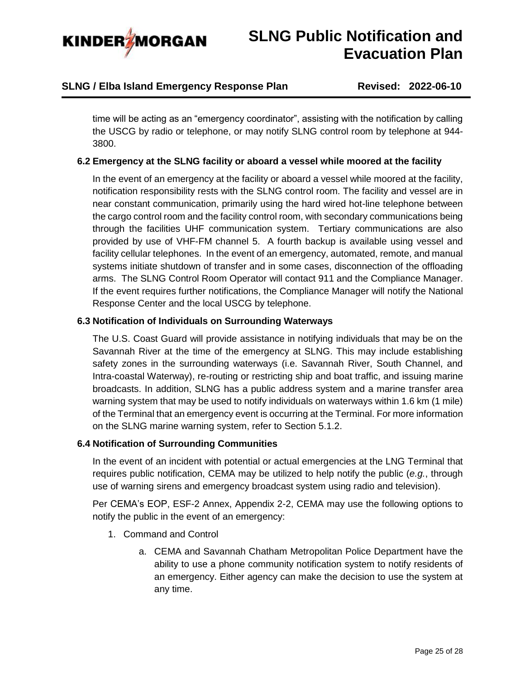

## **SLNG / Elba Island Emergency Response Plan Revised: 2022-06-10**

time will be acting as an "emergency coordinator", assisting with the notification by calling the USCG by radio or telephone, or may notify SLNG control room by telephone at 944- 3800.

### <span id="page-24-0"></span>**6.2 Emergency at the SLNG facility or aboard a vessel while moored at the facility**

In the event of an emergency at the facility or aboard a vessel while moored at the facility, notification responsibility rests with the SLNG control room. The facility and vessel are in near constant communication, primarily using the hard wired hot-line telephone between the cargo control room and the facility control room, with secondary communications being through the facilities UHF communication system. Tertiary communications are also provided by use of VHF-FM channel 5. A fourth backup is available using vessel and facility cellular telephones. In the event of an emergency, automated, remote, and manual systems initiate shutdown of transfer and in some cases, disconnection of the offloading arms. The SLNG Control Room Operator will contact 911 and the Compliance Manager. If the event requires further notifications, the Compliance Manager will notify the National Response Center and the local USCG by telephone.

#### <span id="page-24-1"></span>**6.3 Notification of Individuals on Surrounding Waterways**

The U.S. Coast Guard will provide assistance in notifying individuals that may be on the Savannah River at the time of the emergency at SLNG. This may include establishing safety zones in the surrounding waterways (i.e. Savannah River, South Channel, and Intra-coastal Waterway), re-routing or restricting ship and boat traffic, and issuing marine broadcasts. In addition, SLNG has a public address system and a marine transfer area warning system that may be used to notify individuals on waterways within 1.6 km (1 mile) of the Terminal that an emergency event is occurring at the Terminal. For more information on the SLNG marine warning system, refer to Section [5.1.2.](#page-21-2)

### <span id="page-24-2"></span>**6.4 Notification of Surrounding Communities**

In the event of an incident with potential or actual emergencies at the LNG Terminal that requires public notification, CEMA may be utilized to help notify the public (*e.g.*, through use of warning sirens and emergency broadcast system using radio and television).

Per CEMA's EOP, ESF-2 Annex, Appendix 2-2, CEMA may use the following options to notify the public in the event of an emergency:

- 1. Command and Control
	- a. CEMA and Savannah Chatham Metropolitan Police Department have the ability to use a phone community notification system to notify residents of an emergency. Either agency can make the decision to use the system at any time.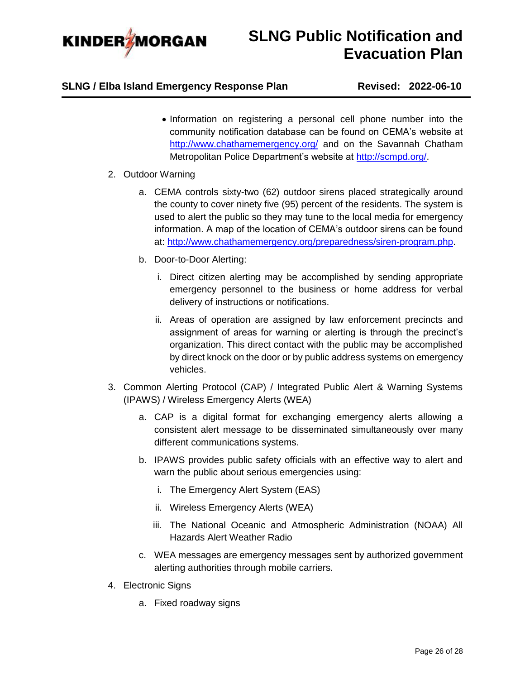

## **SLNG / Elba Island Emergency Response Plan Revised: 2022-06-10**

• Information on registering a personal cell phone number into the community notification database can be found on CEMA's website at <http://www.chathamemergency.org/> and on the Savannah Chatham Metropolitan Police Department's website at [http://scmpd.org/.](http://scmpd.org/)

### 2. Outdoor Warning

- a. CEMA controls sixty-two (62) outdoor sirens placed strategically around the county to cover ninety five (95) percent of the residents. The system is used to alert the public so they may tune to the local media for emergency information. A map of the location of CEMA's outdoor sirens can be found at: [http://www.chathamemergency.org/preparedness/siren-program.php.](http://www.chathamemergency.org/preparedness/siren-program.php)
- b. Door-to-Door Alerting:
	- i. Direct citizen alerting may be accomplished by sending appropriate emergency personnel to the business or home address for verbal delivery of instructions or notifications.
	- ii. Areas of operation are assigned by law enforcement precincts and assignment of areas for warning or alerting is through the precinct's organization. This direct contact with the public may be accomplished by direct knock on the door or by public address systems on emergency vehicles.
- 3. Common Alerting Protocol (CAP) / Integrated Public Alert & Warning Systems (IPAWS) / Wireless Emergency Alerts (WEA)
	- a. CAP is a digital format for exchanging emergency alerts allowing a consistent alert message to be disseminated simultaneously over many different communications systems.
	- b. IPAWS provides public safety officials with an effective way to alert and warn the public about serious emergencies using:
		- i. The Emergency Alert System (EAS)
		- ii. Wireless Emergency Alerts (WEA)
		- iii. The National Oceanic and Atmospheric Administration (NOAA) All Hazards Alert Weather Radio
	- c. WEA messages are emergency messages sent by authorized government alerting authorities through mobile carriers.
- 4. Electronic Signs
	- a. Fixed roadway signs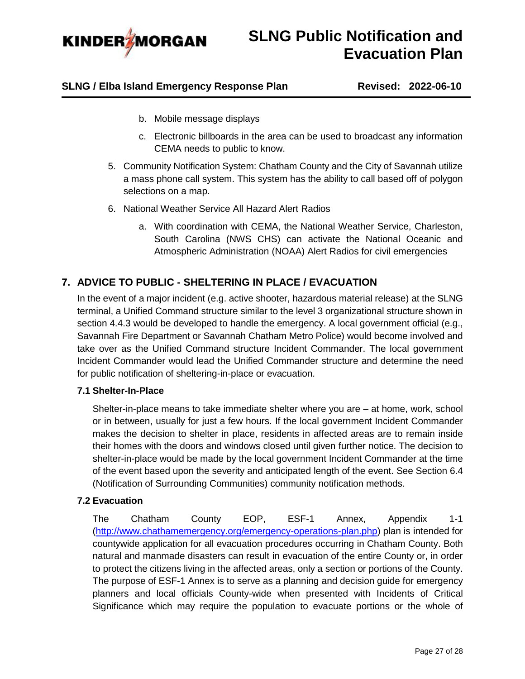

### **SLNG / Elba Island Emergency Response Plan Revised: 2022-06-10**

- b. Mobile message displays
- c. Electronic billboards in the area can be used to broadcast any information CEMA needs to public to know.
- 5. Community Notification System: Chatham County and the City of Savannah utilize a mass phone call system. This system has the ability to call based off of polygon selections on a map.
- 6. National Weather Service All Hazard Alert Radios
	- a. With coordination with CEMA, the National Weather Service, Charleston, South Carolina (NWS CHS) can activate the National Oceanic and Atmospheric Administration (NOAA) Alert Radios for civil emergencies

## <span id="page-26-0"></span>**7. ADVICE TO PUBLIC - SHELTERING IN PLACE / EVACUATION**

In the event of a major incident (e.g. active shooter, hazardous material release) at the SLNG terminal, a Unified Command structure similar to the level 3 organizational structure shown in section [4.4.3](#page-7-0) would be developed to handle the emergency. A local government official (e.g., Savannah Fire Department or Savannah Chatham Metro Police) would become involved and take over as the Unified Command structure Incident Commander. The local government Incident Commander would lead the Unified Commander structure and determine the need for public notification of sheltering-in-place or evacuation.

### <span id="page-26-1"></span>**7.1 Shelter-In-Place**

Shelter-in-place means to take immediate shelter where you are – at home, work, school or in between, usually for just a few hours. If the local government Incident Commander makes the decision to shelter in place, residents in affected areas are to remain inside their homes with the doors and windows closed until given further notice. The decision to shelter-in-place would be made by the local government Incident Commander at the time of the event based upon the severity and anticipated length of the event. See Section [6.4](#page-24-2) (Notification of Surrounding Communities) community notification methods.

### <span id="page-26-2"></span>**7.2 Evacuation**

The Chatham County EOP, ESF-1 Annex, Appendix 1-1 [\(http://www.chathamemergency.org/emergency-operations-plan.php\)](http://www.chathamemergency.org/emergency-operations-plan.php) plan is intended for countywide application for all evacuation procedures occurring in Chatham County. Both natural and manmade disasters can result in evacuation of the entire County or, in order to protect the citizens living in the affected areas, only a section or portions of the County. The purpose of ESF-1 Annex is to serve as a planning and decision guide for emergency planners and local officials County-wide when presented with Incidents of Critical Significance which may require the population to evacuate portions or the whole of